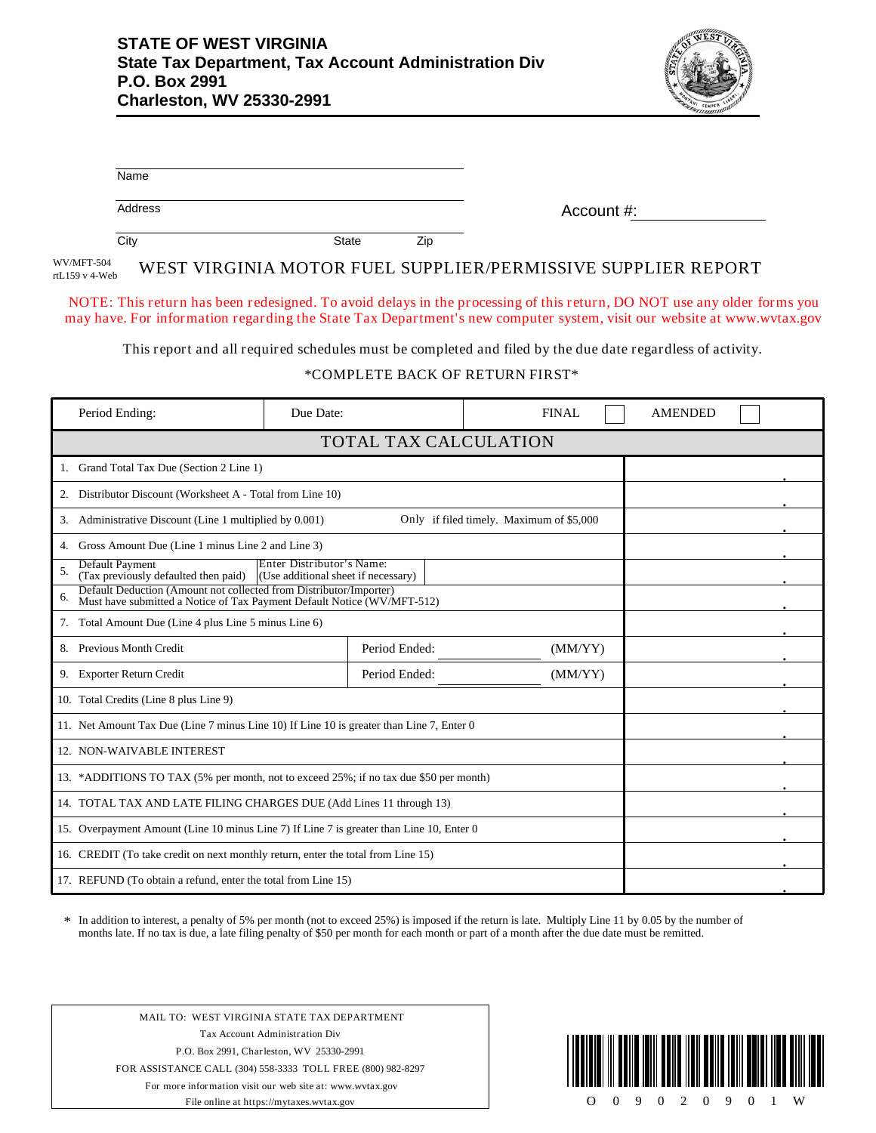

| Name                                                                                                                                                                                                                                              |                     |              |                |  |  |  |
|---------------------------------------------------------------------------------------------------------------------------------------------------------------------------------------------------------------------------------------------------|---------------------|--------------|----------------|--|--|--|
| Address                                                                                                                                                                                                                                           |                     | Account #:   |                |  |  |  |
| $\overline{City}$                                                                                                                                                                                                                                 | <b>State</b><br>Zip |              |                |  |  |  |
| WV/MFT-504<br>WEST VIRGINIA MOTOR FUEL SUPPLIER/PERMISSIVE SUPPLIER REPORT<br>rtL159 v 4-Web                                                                                                                                                      |                     |              |                |  |  |  |
| NOTE: This return has been redesigned. To avoid delays in the processing of this return, DO NOT use any older forms you<br>may have. For information regarding the State Tax Department's new computer system, visit our website at www.wvtax.gov |                     |              |                |  |  |  |
| This report and all required schedules must be completed and filed by the due date regardless of activity.                                                                                                                                        |                     |              |                |  |  |  |
| *COMPLETE BACK OF RETURN FIRST*                                                                                                                                                                                                                   |                     |              |                |  |  |  |
| Period Ending:<br>Due Date:                                                                                                                                                                                                                       |                     | <b>FINAL</b> | <b>AMENDED</b> |  |  |  |
| TOTAL TAX CALCULATION                                                                                                                                                                                                                             |                     |              |                |  |  |  |
| 1. Grand Total Tax Due (Section 2 Line 1)                                                                                                                                                                                                         |                     |              |                |  |  |  |
| 2. Distributor Discount (Worksheet A - Total from Line 10)                                                                                                                                                                                        |                     |              |                |  |  |  |
| 3. Administrative Discount (Line 1 multiplied by 0.001)<br>Only if filed timely. Maximum of \$5,000                                                                                                                                               |                     |              |                |  |  |  |
| 4. Gross Amount Due (Line 1 minus Line 2 and Line 3)                                                                                                                                                                                              |                     |              |                |  |  |  |
| <b>Default Payment</b><br>Enter Distributor's Name:<br>5.<br>(Tax previously defaulted then paid)<br>(Use additional sheet if necessary)                                                                                                          |                     |              |                |  |  |  |
| Default Deduction (Amount not collected from Distributor/Importer)<br>6.<br>Must have submitted a Notice of Tax Payment Default Notice (WV/MFT-512)                                                                                               |                     |              |                |  |  |  |
| 7. Total Amount Due (Line 4 plus Line 5 minus Line 6)                                                                                                                                                                                             |                     |              |                |  |  |  |
| 8. Previous Month Credit                                                                                                                                                                                                                          | Period Ended:       | (MM/YY)      |                |  |  |  |
| 9. Exporter Return Credit                                                                                                                                                                                                                         | Period Ended:       | (MM/YY)      |                |  |  |  |
| 10. Total Credits (Line 8 plus Line 9)                                                                                                                                                                                                            |                     |              |                |  |  |  |
| 11. Net Amount Tax Due (Line 7 minus Line 10) If Line 10 is greater than Line 7, Enter 0                                                                                                                                                          |                     |              |                |  |  |  |
| 12. NON-WAIVABLE INTEREST                                                                                                                                                                                                                         |                     |              |                |  |  |  |
| 13. *ADDITIONS TO TAX (5% per month, not to exceed 25%; if no tax due \$50 per month)                                                                                                                                                             |                     |              |                |  |  |  |
| 14. TOTAL TAX AND LATE FILING CHARGES DUE (Add Lines 11 through 13)                                                                                                                                                                               |                     |              |                |  |  |  |
| 15. Overpayment Amount (Line 10 minus Line 7) If Line 7 is greater than Line 10, Enter 0                                                                                                                                                          |                     |              |                |  |  |  |

In addition to interest, a penalty of 5% per month (not to exceed 25%) is imposed if the return is late. Multiply Line 11 by 0.05 by the number of months late. If no tax is due, a late filing penalty of \$50 per month for each month or part of a month after the due date must be remitted. \*

MAIL TO: WEST VIRGINIA STATE TAX DEPARTMENT Tax Account Administration Div P.O. Box 2991, Charleston, WV 25330-2991 FOR ASSISTANCE CALL (304) 558-3333 TOLL FREE (800) 982-8297 For more information visit our web site at: www.wvtax.gov File online at https://mytaxes.wvtax.gov

17. REFUND (To obtain a refund, enter the total from Line 15)

16. CREDIT (To take credit on next monthly return, enter the total from Line 15)



. .